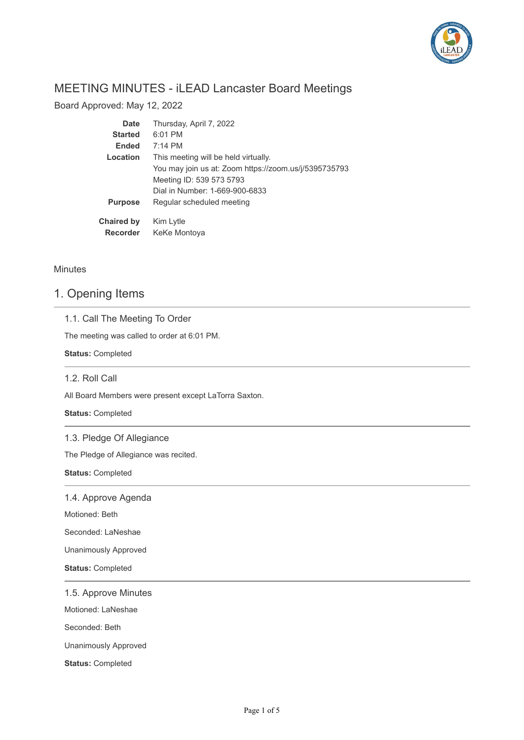

# MEETING MINUTES - iLEAD Lancaster Board Meetings

Board Approved: May 12, 2022

| Date              | Thursday, April 7, 2022                               |
|-------------------|-------------------------------------------------------|
| <b>Started</b>    | 6:01 PM                                               |
| <b>Ended</b>      | $7:14 \, \text{PM}$                                   |
| Location          | This meeting will be held virtually.                  |
|                   | You may join us at: Zoom https://zoom.us/j/5395735793 |
|                   | Meeting ID: 539 573 5793                              |
|                   | Dial in Number: 1-669-900-6833                        |
| <b>Purpose</b>    | Regular scheduled meeting                             |
| <b>Chaired by</b> | Kim Lytle                                             |
| <b>Recorder</b>   | KeKe Montoya                                          |

**Minutes** 

# 1. Opening Items

|  |  |  |  | 1.1. Call The Meeting To Order |  |  |
|--|--|--|--|--------------------------------|--|--|
|--|--|--|--|--------------------------------|--|--|

The meeting was called to order at 6:01 PM.

**Status:** Completed

### 1.2. Roll Call

All Board Members were present except LaTorra Saxton.

**Status:** Completed

### 1.3. Pledge Of Allegiance

The Pledge of Allegiance was recited.

**Status:** Completed

1.4. Approve Agenda

Motioned: Beth

Seconded: LaNeshae

Unanimously Approved

**Status:** Completed

1.5. Approve Minutes

Motioned: LaNeshae

Seconded: Beth

Unanimously Approved

**Status:** Completed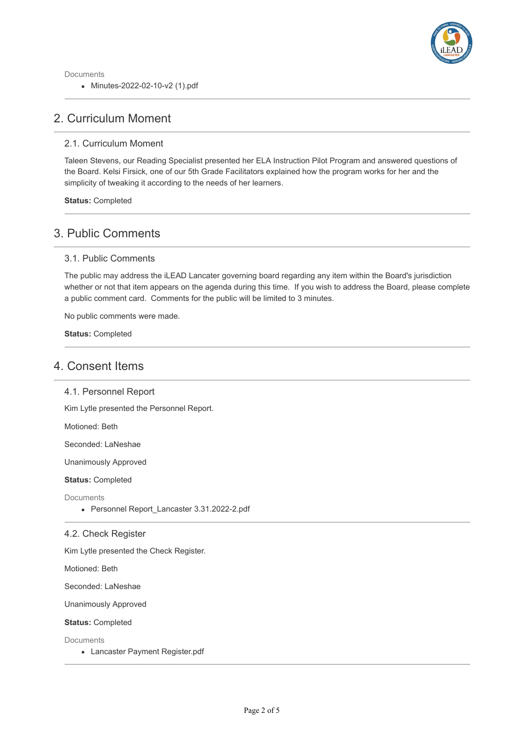

Documents Minutes-2022-02-10-v2 (1).pdf

# 2. Curriculum Moment

### 2.1. Curriculum Moment

Taleen Stevens, our Reading Specialist presented her ELA Instruction Pilot Program and answered questions of the Board. Kelsi Firsick, one of our 5th Grade Facilitators explained how the program works for her and the simplicity of tweaking it according to the needs of her learners.

**Status:** Completed

# 3. Public Comments

### 3.1. Public Comments

The public may address the iLEAD Lancater governing board regarding any item within the Board's jurisdiction whether or not that item appears on the agenda during this time. If you wish to address the Board, please complete a public comment card. Comments for the public will be limited to 3 minutes.

No public comments were made.

**Status:** Completed

# 4. Consent Items

### 4.1. Personnel Report

Kim Lytle presented the Personnel Report.

Motioned: Beth

Seconded: LaNeshae

Unanimously Approved

**Status:** Completed

**Documents** 

• Personnel Report Lancaster 3.31.2022-2.pdf

### 4.2. Check Register

Kim Lytle presented the Check Register.

Motioned: Beth

Seconded: LaNeshae

Unanimously Approved

#### **Status:** Completed

**Documents** 

Lancaster Payment Register.pdf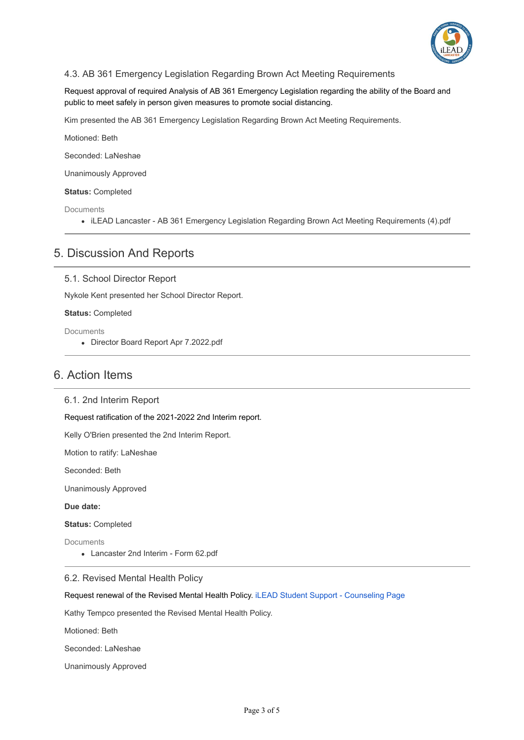

### 4.3. AB 361 Emergency Legislation Regarding Brown Act Meeting Requirements

Request approval of required Analysis of AB 361 Emergency Legislation regarding the ability of the Board and public to meet safely in person given measures to promote social distancing.

Kim presented the AB 361 Emergency Legislation Regarding Brown Act Meeting Requirements.

Motioned: Beth

Seconded: LaNeshae

Unanimously Approved

**Status:** Completed

**Documents** 

iLEAD Lancaster - AB 361 Emergency Legislation Regarding Brown Act Meeting Requirements (4).pdf

## 5. Discussion And Reports

5.1. School Director Report

Nykole Kent presented her School Director Report.

**Status:** Completed

Documents

Director Board Report Apr 7.2022.pdf

## 6. Action Items

6.1. 2nd Interim Report

Request ratification of the 2021-2022 2nd Interim report.

Kelly O'Brien presented the 2nd Interim Report.

Motion to ratify: LaNeshae

Seconded: Beth

Unanimously Approved

**Due date:**

**Status:** Completed

Documents

Lancaster 2nd Interim - Form 62.pdf

#### 6.2. Revised Mental Health Policy

Request renewal of the Revised Mental Health Policy. [iLEAD Student Support - Counseling Page](http://ileadstudentsupport.org/counseling)

Kathy Tempco presented the Revised Mental Health Policy.

Motioned: Beth

Seconded: LaNeshae

Unanimously Approved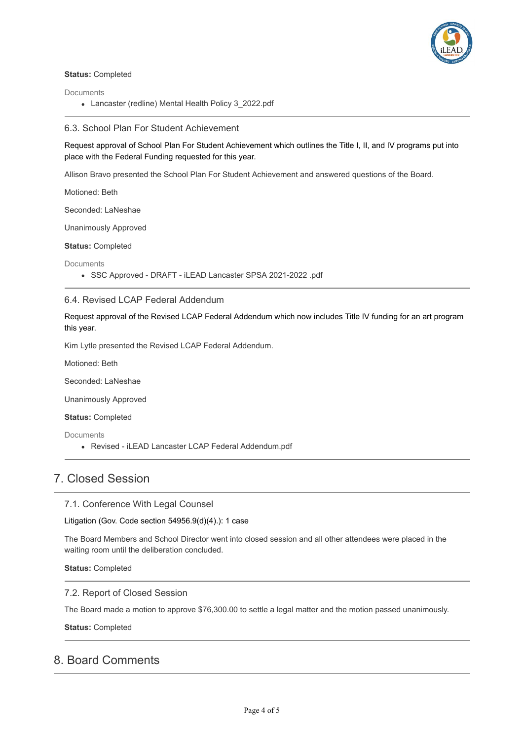

#### **Status:** Completed

**Documents** 

Lancaster (redline) Mental Health Policy 3\_2022.pdf

### 6.3. School Plan For Student Achievement

Request approval of School Plan For Student Achievement which outlines the Title I, II, and IV programs put into place with the Federal Funding requested for this year.

Allison Bravo presented the School Plan For Student Achievement and answered questions of the Board.

Motioned: Beth

Seconded: LaNeshae

Unanimously Approved

**Status:** Completed

**Documents** 

SSC Approved - DRAFT - iLEAD Lancaster SPSA 2021-2022 .pdf

### 6.4. Revised LCAP Federal Addendum

Request approval of the Revised LCAP Federal Addendum which now includes Title IV funding for an art program this year.

Kim Lytle presented the Revised LCAP Federal Addendum.

Motioned: Beth

Seconded: LaNeshae

Unanimously Approved

**Status:** Completed

**Documents** 

Revised - iLEAD Lancaster LCAP Federal Addendum.pdf

# 7. Closed Session

7.1. Conference With Legal Counsel

Litigation (Gov. Code section 54956.9(d)(4).): 1 case

The Board Members and School Director went into closed session and all other attendees were placed in the waiting room until the deliberation concluded.

**Status:** Completed

### 7.2. Report of Closed Session

The Board made a motion to approve \$76,300.00 to settle a legal matter and the motion passed unanimously.

**Status:** Completed

## 8. Board Comments